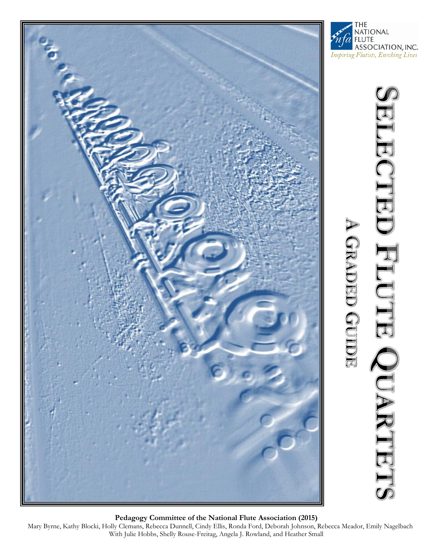





**Pedagogy Committee of the National Flute Association (2015)**

Mary Byrne, Kathy Blocki, Holly Clemans, Rebecca Dunnell, Cindy Ellis, Ronda Ford, Deborah Johnson, Rebecca Meador, Emily Nagelbach With Julie Hobbs, Shelly Rouse-Freitag, Angela J. Rowland, and Heather Small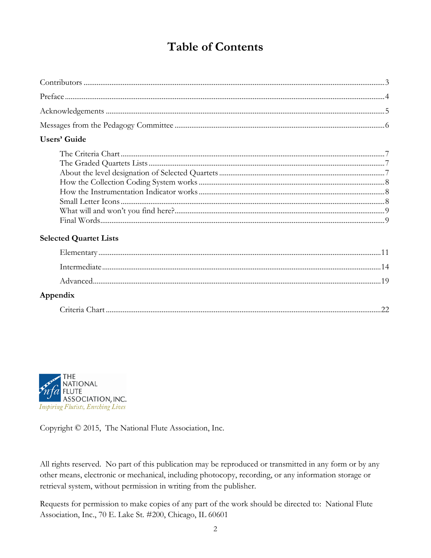## **Table of Contents**

#### **Users' Guide**

### **Selected Quartet Lists**

| Appendix |  |
|----------|--|
|          |  |



Copyright © 2015, The National Flute Association, Inc.

All rights reserved. No part of this publication may be reproduced or transmitted in any form or by any other means, electronic or mechanical, including photocopy, recording, or any information storage or retrieval system, without permission in writing from the publisher.

Requests for permission to make copies of any part of the work should be directed to: National Flute Association, Inc., 70 E. Lake St. #200, Chicago, IL 60601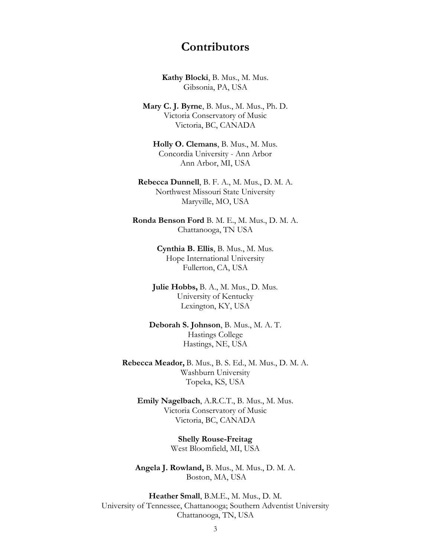### **Contributors**

**Kathy Blocki**, B. Mus., M. Mus. Gibsonia, PA, USA

**Mary C. J. Byrne**, B. Mus., M. Mus., Ph. D. Victoria Conservatory of Music Victoria, BC, CANADA

**Holly O. Clemans**, B. Mus., M. Mus. Concordia University - Ann Arbor Ann Arbor, MI, USA

**Rebecca Dunnell**, B. F. A., M. Mus., D. M. A. Northwest Missouri State University Maryville, MO, USA

**Ronda Benson Ford** B. M. E., M. Mus., D. M. A. Chattanooga, TN USA

> **Cynthia B. Ellis**, B. Mus., M. Mus. Hope International University Fullerton, CA, USA

**Julie Hobbs,** B. A., M. Mus., D. Mus. University of Kentucky Lexington, KY, USA

**Deborah S. Johnson**, B. Mus., M. A. T. Hastings College Hastings, NE, USA

**Rebecca Meador,** B. Mus., B. S. Ed., M. Mus., D. M. A. Washburn University Topeka, KS, USA

**Emily Nagelbach**, A.R.C.T., B. Mus., M. Mus. Victoria Conservatory of Music Victoria, BC, CANADA

> **Shelly Rouse-Freitag** West Bloomfield, MI, USA

**Angela J. Rowland,** B. Mus., M. Mus., D. M. A. Boston, MA, USA

**Heather Small**, B.M.E., M. Mus., D. M. University of Tennessee, Chattanooga; Southern Adventist University Chattanooga, TN, USA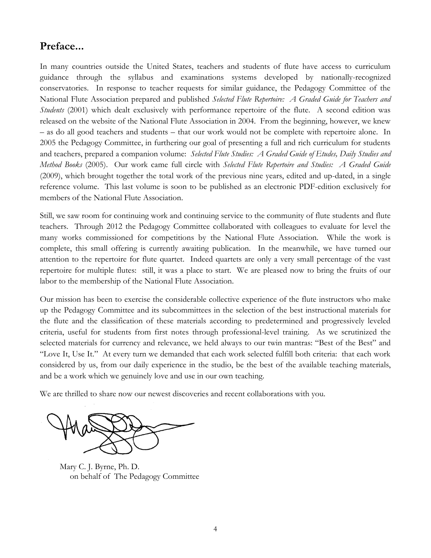### **Preface...**

In many countries outside the United States, teachers and students of flute have access to curriculum guidance through the syllabus and examinations systems developed by nationally-recognized conservatories. In response to teacher requests for similar guidance, the Pedagogy Committee of the National Flute Association prepared and published *Selected Flute Repertoire: A Graded Guide for Teachers and Students* (2001) which dealt exclusively with performance repertoire of the flute. A second edition was released on the website of the National Flute Association in 2004. From the beginning, however, we knew – as do all good teachers and students – that our work would not be complete with repertoire alone. In 2005 the Pedagogy Committee, in furthering our goal of presenting a full and rich curriculum for students and teachers, prepared a companion volume: *Selected Flute Studies: A Graded Guide of Etudes, Daily Studies and Method Books* (2005). Our work came full circle with *Selected Flute Repertoire and Studies: A Graded Guide* (2009), which brought together the total work of the previous nine years, edited and up-dated, in a single reference volume. This last volume is soon to be published as an electronic PDF-edition exclusively for members of the National Flute Association.

Still, we saw room for continuing work and continuing service to the community of flute students and flute teachers. Through 2012 the Pedagogy Committee collaborated with colleagues to evaluate for level the many works commissioned for competitions by the National Flute Association. While the work is complete, this small offering is currently awaiting publication. In the meanwhile, we have turned our attention to the repertoire for flute quartet. Indeed quartets are only a very small percentage of the vast repertoire for multiple flutes: still, it was a place to start. We are pleased now to bring the fruits of our labor to the membership of the National Flute Association.

Our mission has been to exercise the considerable collective experience of the flute instructors who make up the Pedagogy Committee and its subcommittees in the selection of the best instructional materials for the flute and the classification of these materials according to predetermined and progressively leveled criteria, useful for students from first notes through professional-level training. As we scrutinized the selected materials for currency and relevance, we held always to our twin mantras: "Best of the Best" and "Love It, Use It." At every turn we demanded that each work selected fulfill both criteria: that each work considered by us, from our daily experience in the studio, be the best of the available teaching materials, and be a work which we genuinely love and use in our own teaching.

We are thrilled to share now our newest discoveries and recent collaborations with you.

Mary C. J. Byrne, Ph. D. on behalf of The Pedagogy Committee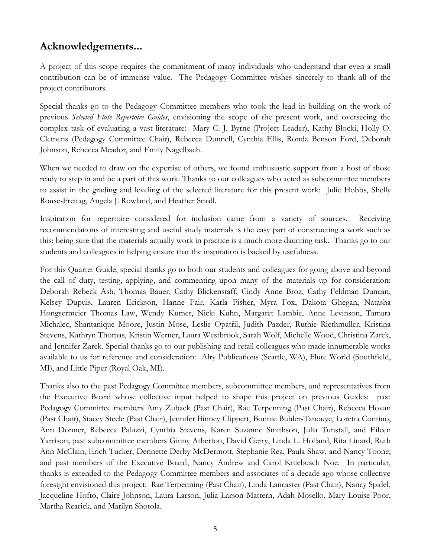### **Acknowledgements...**

A project of this scope requires the commitment of many individuals who understand that even a small contribution can be of immense value. The Pedagogy Committee wishes sincerely to thank all of the project contributors.

Special thanks go to the Pedagogy Committee members who took the lead in building on the work of previous *Selected Flute Repertoire Guides*, envisioning the scope of the present work, and overseeing the complex task of evaluating a vast literature: Mary C. J. Byrne (Project Leader), Kathy Blocki, Holly O. Clemens (Pedagogy Committee Chair), Rebecca Dunnell, Cynthia Ellis, Ronda Benson Ford, Deborah Johnson, Rebecca Meador, and Emily Nagelbach.

When we needed to draw on the expertise of others, we found enthusiastic support from a host of those ready to step in and be a part of this work. Thanks to our colleagues who acted as subcommittee members to assist in the grading and leveling of the selected literature for this present work: Julie Hobbs, Shelly Rouse-Freitag, Angela J. Rowland, and Heather Small.

Inspiration for repertoire considered for inclusion came from a variety of sources. Receiving recommendations of interesting and useful study materials is the easy part of constructing a work such as this: being sure that the materials actually work in practice is a much more daunting task. Thanks go to our students and colleagues in helping ensure that the inspiration is backed by usefulness.

For this Quartet Guide, special thanks go to both our students and colleagues for going above and beyond the call of duty, testing, applying, and commenting upon many of the materials up for consideration: Deborah Rebeck Ash, Thomas Bauer, Cathy Blickenstaff, Cindy Anne Broz, Cathy Feldman Duncan, Kelsey Dupuis, Lauren Erickson, Hanne Fair, Karla Fisher, Myra Fox, Dakota Ghegan, Natasha Hongsermeier Thomas Law, Wendy Kumer, Nicki Kuhn, Margaret Lambie, Anne Levinson, Tamara Michalec, Shantanique Moore, Justin Mose, Leslie Opatřil, Judith Pazder, Ruthie Riethmuller, Kristina Stevens, Kathryn Thomas, Kristin Werner, Laura Westbrook, Sarah Wolf, Michelle Wood, Christina Zarek, and Jennifer Zarek. Special thanks go to our publishing and retail colleagues who made innumerable works available to us for reference and consideration: Alry Publications (Seattle, WA), Flute World (Southfield, MI), and Little Piper (Royal Oak, MI).

Thanks also to the past Pedagogy Committee members, subcommittee members, and representatives from the Executive Board whose collective input helped to shape this project on previous Guides: past Pedagogy Committee members Amy Zuback (Past Chair), Rae Terpenning (Past Chair), Rebecca Hovan (Past Chair), Stacey Steele (Past Chair), Jennifer Binney Clippert, Bonnie Buhler-Tanouye, Loretta Contino, Ann Donner, Rebecca Paluzzi, Cynthia Stevens, Karen Suzanne Smithson, Julia Tunstall, and Eileen Yarrison; past subcommittee members Ginny Atherton, David Gerry, Linda L. Holland, Rita Linard, Ruth Ann McClain, Erich Tucker, Dennette Derby McDermott, Stephanie Rea, Paula Shaw, and Nancy Toone; and past members of the Executive Board, Nancy Andrew and Carol Kniebusch Noe. In particular, thanks is extended to the Pedagogy Committee members and associates of a decade ago whose collective foresight envisioned this project: Rae Terpenning (Past Chair), Linda Lancaster (Past Chair), Nancy Spidel, Jacqueline Hofto, Claire Johnson, Laura Larson, Julia Larson Mattern, Adah Mosello, Mary Louise Poor, Martha Rearick, and Marilyn Shotola.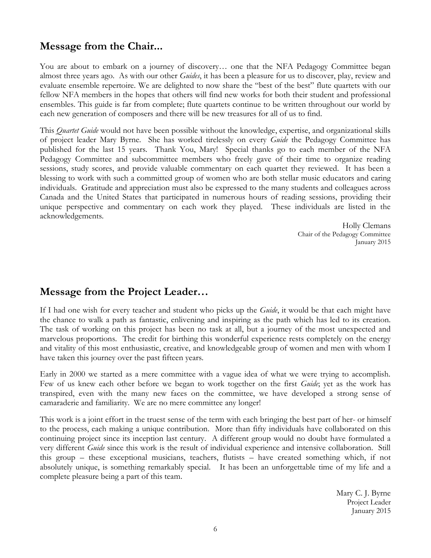### **Message from the Chair...**

You are about to embark on a journey of discovery… one that the NFA Pedagogy Committee began almost three years ago. As with our other *Guides*, it has been a pleasure for us to discover, play, review and evaluate ensemble repertoire. We are delighted to now share the "best of the best" flute quartets with our fellow NFA members in the hopes that others will find new works for both their student and professional ensembles. This guide is far from complete; flute quartets continue to be written throughout our world by each new generation of composers and there will be new treasures for all of us to find.

This *Quartet Guide* would not have been possible without the knowledge, expertise, and organizational skills of project leader Mary Byrne. She has worked tirelessly on every *Guide* the Pedagogy Committee has published for the last 15 years. Thank You, Mary! Special thanks go to each member of the NFA Pedagogy Committee and subcommittee members who freely gave of their time to organize reading sessions, study scores, and provide valuable commentary on each quartet they reviewed. It has been a blessing to work with such a committed group of women who are both stellar music educators and caring individuals. Gratitude and appreciation must also be expressed to the many students and colleagues across Canada and the United States that participated in numerous hours of reading sessions, providing their unique perspective and commentary on each work they played. These individuals are listed in the acknowledgements.

> Holly Clemans Chair of the Pedagogy Committee January 2015

### **Message from the Project Leader…**

If I had one wish for every teacher and student who picks up the *Guide*, it would be that each might have the chance to walk a path as fantastic, enlivening and inspiring as the path which has led to its creation. The task of working on this project has been no task at all, but a journey of the most unexpected and marvelous proportions. The credit for birthing this wonderful experience rests completely on the energy and vitality of this most enthusiastic, creative, and knowledgeable group of women and men with whom I have taken this journey over the past fifteen years.

Early in 2000 we started as a mere committee with a vague idea of what we were trying to accomplish. Few of us knew each other before we began to work together on the first *Guide*; yet as the work has transpired, even with the many new faces on the committee, we have developed a strong sense of camaraderie and familiarity. We are no mere committee any longer!

This work is a joint effort in the truest sense of the term with each bringing the best part of her- or himself to the process, each making a unique contribution. More than fifty individuals have collaborated on this continuing project since its inception last century. A different group would no doubt have formulated a very different *Guide* since this work is the result of individual experience and intensive collaboration. Still this group – these exceptional musicians, teachers, flutists – have created something which, if not absolutely unique, is something remarkably special. It has been an unforgettable time of my life and a complete pleasure being a part of this team.

> Mary C. J. Byrne Project Leader January 2015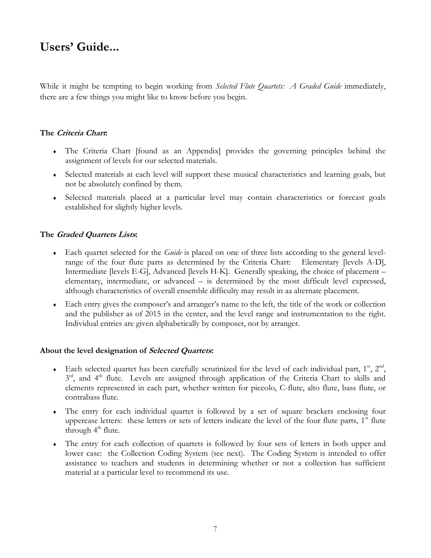## **Users' Guide...**

While it might be tempting to begin working from *Selected Flute Quartets: A Graded Guide* immediately, there are a few things you might like to know before you begin.

#### **The Criteria Chart:**

- The Criteria Chart [found as an Appendix] provides the governing principles behind the assignment of levels for our selected materials.
- Selected materials at each level will support these musical characteristics and learning goals, but not be absolutely confined by them.
- Selected materials placed at a particular level may contain characteristics or forecast goals established for slightly higher levels.

#### **The Graded Quartets Lists:**

- Each quartet selected for the *Guide* is placed on one of three lists according to the general levelrange of the four flute parts as determined by the Criteria Chart: Elementary [levels A-D], Intermediate [levels E-G], Advanced [levels H-K]. Generally speaking, the choice of placement – elementary, intermediate, or advanced – is determined by the most difficult level expressed, although characteristics of overall ensemble difficulty may result in aa alternate placement.
- Each entry gives the composer's and arranger's name to the left, the title of the work or collection and the publisher as of 2015 in the center, and the level range and instrumentation to the right. Individual entries are given alphabetically by composer, not by arranger.

#### **About the level designation of Selected Quartets:**

- Each selected quartet has been carefully scrutinized for the level of each individual part,  $1^{\text{st}}$ ,  $2^{\text{nd}}$ , 3<sup>rd</sup>, and 4<sup>th</sup> flute. Levels are assigned through application of the Criteria Chart to skills and elements represented in each part, whether written for piccolo, C-flute, alto flute, bass flute, or contrabass flute.
- The entry for each individual quartet is followed by a set of square brackets enclosing four uppercase letters: these letters or sets of letters indicate the level of the four flute parts,  $1<sup>st</sup>$  flute through  $4<sup>th</sup>$  flute.
- The entry for each collection of quartets is followed by four sets of letters in both upper and lower case: the Collection Coding System (see next). The Coding System is intended to offer assistance to teachers and students in determining whether or not a collection has sufficient material at a particular level to recommend its use.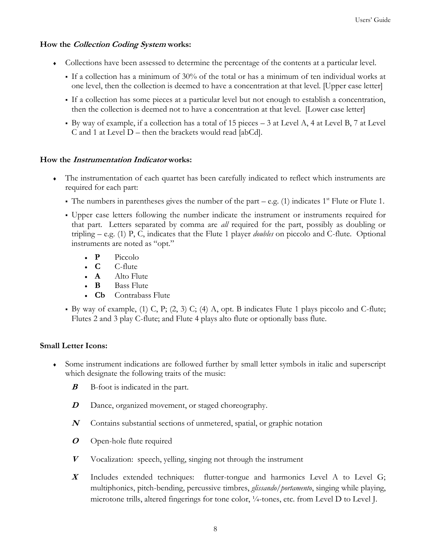#### **How the Collection Coding System works:**

- Collections have been assessed to determine the percentage of the contents at a particular level.
	- If a collection has a minimum of 30% of the total or has a minimum of ten individual works at one level, then the collection is deemed to have a concentration at that level. [Upper case letter]
	- If a collection has some pieces at a particular level but not enough to establish a concentration, then the collection is deemed not to have a concentration at that level. [Lower case letter]
	- By way of example, if a collection has a total of 15 pieces 3 at Level A, 4 at Level B, 7 at Level C and 1 at Level D – then the brackets would read [abCd].

#### **How the Instrumentation Indicator works:**

- The instrumentation of each quartet has been carefully indicated to reflect which instruments are required for each part:
	- The numbers in parentheses gives the number of the part e.g. (1) indicates  $1<sup>st</sup>$  Flute or Flute 1.
	- Upper case letters following the number indicate the instrument or instruments required for that part. Letters separated by comma are *all* required for the part, possibly as doubling or tripling – e.g. (1) P, C, indicates that the Flute 1 player *doubles* on piccolo and C-flute. Optional instruments are noted as "opt."
		- $\cdot$  **P** Piccolo
		- **C** C-flute
		- **A** Alto Flute
		- **B** Bass Flute
		- **Cb** Contrabass Flute
	- By way of example, (1) C, P; (2, 3) C; (4) A, opt. B indicates Flute 1 plays piccolo and C-flute; Flutes 2 and 3 play C-flute; and Flute 4 plays alto flute or optionally bass flute.

#### **Small Letter Icons:**

- Some instrument indications are followed further by small letter symbols in italic and superscript which designate the following traits of the music:
	- **B** B-foot is indicated in the part.
	- **D**Dance, organized movement, or staged choreography.
	- **<sup>N</sup>** Contains substantial sections of unmetered, spatial, or graphic notation
	- **<sup>O</sup>** Open-hole flute required
	- **<sup>V</sup>** Vocalization: speech, yelling, singing not through the instrument
	- **X** Includes extended techniques: flutter-tongue and harmonics Level A to Level G; multiphonics, pitch-bending, percussive timbres, *glissando*/*portamento*, singing while playing, microtone trills, altered fingerings for tone color,  $\frac{1}{4}$ -tones, etc. from Level D to Level J.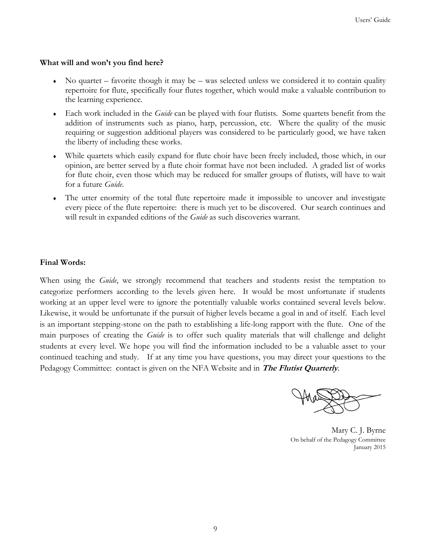#### **What will and won't you find here?**

- $\bullet$  No quartet favorite though it may be was selected unless we considered it to contain quality repertoire for flute, specifically four flutes together, which would make a valuable contribution to the learning experience.
- Each work included in the *Guide* can be played with four flutists. Some quartets benefit from the addition of instruments such as piano, harp, percussion, etc. Where the quality of the music requiring or suggestion additional players was considered to be particularly good, we have taken the liberty of including these works.
- While quartets which easily expand for flute choir have been freely included, those which, in our opinion, are better served by a flute choir format have not been included. A graded list of works for flute choir, even those which may be reduced for smaller groups of flutists, will have to wait for a future *Guide*.
- The utter enormity of the total flute repertoire made it impossible to uncover and investigate every piece of the flute repertoire: there is much yet to be discovered. Our search continues and will result in expanded editions of the *Guide* as such discoveries warrant.

#### **Final Words:**

When using the *Guide*, we strongly recommend that teachers and students resist the temptation to categorize performers according to the levels given here. It would be most unfortunate if students working at an upper level were to ignore the potentially valuable works contained several levels below. Likewise, it would be unfortunate if the pursuit of higher levels became a goal in and of itself. Each level is an important stepping-stone on the path to establishing a life-long rapport with the flute. One of the main purposes of creating the *Guide* is to offer such quality materials that will challenge and delight students at every level. We hope you will find the information included to be a valuable asset to your continued teaching and study. If at any time you have questions, you may direct your questions to the Pedagogy Committee: contact is given on the NFA Website and in **The Flutist Quarterly**.

Mary C. J. Byrne On behalf of the Pedagogy Committee January 2015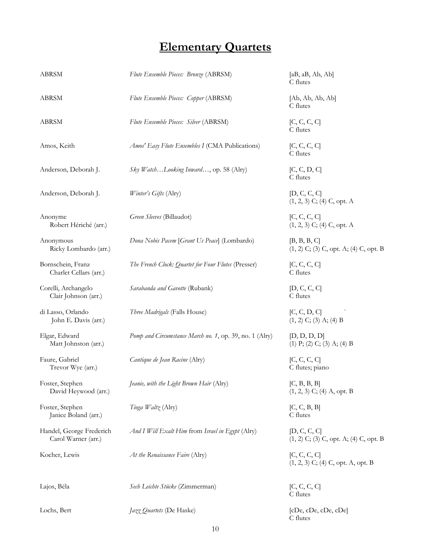# **Elementary Quartets**

| ABRSM                                           | Flute Ensemble Pieces: Bronze (ABRSM)                   | [aB, aB, Ab, Ab]<br>C flutes                             |
|-------------------------------------------------|---------------------------------------------------------|----------------------------------------------------------|
| ABRSM                                           | Flute Ensemble Pieces: Copper (ABRSM)                   | [Ab, Ab, Ab, Ab]<br>C flutes                             |
| ABRSM                                           | Flute Ensemble Pieces: Silver (ABRSM)                   | [C, C, C, C]<br>C flutes                                 |
| Amos, Keith                                     | Amos' Easy Flute Ensembles I (CMA Publications)         | [C, C, C, C]<br>C flutes                                 |
| Anderson, Deborah J.                            | Sky WatchLooking Inward, op. 58 (Alry)                  | [C, C, D, C]<br>C flutes                                 |
| Anderson, Deborah J.                            | Winter's Gifts (Alry)                                   | [D, C, C, C]<br>$(1, 2, 3)$ C; $(4)$ C, opt. A           |
| Anonyme<br>Robert Hériché (arr.)                | Green Sleeves (Billaudot)                               | [C, C, C, C]<br>$(1, 2, 3)$ C; $(4)$ C, opt. A           |
| Anonymous<br>Ricky Lombardo (arr.)              | Dona Nobis Pacem [Grant Us Peace] (Lombardo)            | [B, B, B, C]<br>$(1, 2)$ C; (3) C, opt. A; (4) C, opt. B |
| Bornschein, Franz<br>Charlet Cellars (arr.)     | The French Clock: Quartet for Four Flutes (Presser)     | [C, C, C, C]<br>C flutes                                 |
| Corelli, Archangelo<br>Clair Johnson (arr.)     | Sarabanda and Gavotte (Rubank)                          | [D, C, C, C]<br>C flutes                                 |
| di Lasso, Orlando<br>John E. Davis (arr.)       | Three Madrigals (Falls House)                           | [C, C, D, C]<br>$(1, 2)$ C; $(3)$ A; $(4)$ B             |
| Elgar, Edward<br>Matt Johnston (arr.)           | Pomp and Circumstance March no. 1, op. 39, no. 1 (Alry) | [D, D, D, D]<br>$(1)$ P; $(2)$ C; $(3)$ A; $(4)$ B       |
| Faure, Gabriel<br>Trevor Wye (arr.)             | Cantique de Jean Racine (Alry)                          | [C, C, C, C]<br>C flutes; piano                          |
| Foster, Stephen<br>David Heywood (arr.)         | Jeanie, with the Light Brown Hair (Alry)                | [C, B, B, B]<br>$(1, 2, 3)$ C; (4) A, opt. B             |
| Foster, Stephen<br>Janice Boland (arr.)         | Tioga Waltz (Alry)                                      | [C, C, B, B]<br>C flutes                                 |
| Handel, George Frederich<br>Carol Warner (arr.) | And I Will Exalt Him from Israel in Egypt (Alry)        | [D, C, C, C]<br>$(1, 2)$ C; (3) C, opt. A; (4) C, opt. B |
| Kocher, Lewis                                   | At the Renaissance Faire (Alry)                         | [C, C, C, C]<br>$(1, 2, 3)$ C; (4) C, opt. A, opt. B     |
| Lajos, Béla                                     | Sech Leichte Stücke (Zimmerman)                         | [C, C, C, C]<br>C flutes                                 |
| Lochs, Bert                                     | Jazz Quartets (De Haske)                                | [cDe, cDe, cDe, cDe]<br>C flutes                         |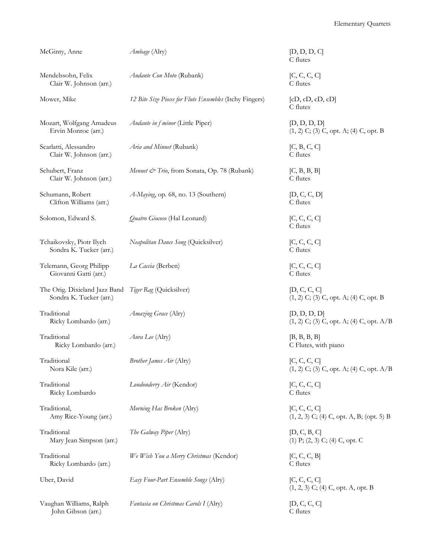| McGinty, Anne                                            | Ambage (Alry)                                           | [D, D, D, C]<br>C flutes                                     |
|----------------------------------------------------------|---------------------------------------------------------|--------------------------------------------------------------|
| Mendelssohn, Felix<br>Clair W. Johnson (arr.)            | Andante Con Moto (Rubank)                               | [C, C, C, C]<br>C flutes                                     |
| Mower, Mike                                              | 12 Bite Size Pieces for Flute Ensembles (Itchy Fingers) | [cD, cD, cD, cD]<br>C flutes                                 |
| Mozart, Wolfgang Amadeus<br>Ervin Monroe (arr.)          | Andante in f minor (Little Piper)                       | [D, D, D, D]<br>$(1, 2)$ C; $(3)$ C, opt. A; $(4)$ C, opt. B |
| Scarlatti, Alessandro<br>Clair W. Johnson (arr.)         | Aria and Minuet (Rubank)                                | [C, B, C, C]<br>C flutes                                     |
| Schubert, Franz<br>Clair W. Johnson (arr.)               | Menuet & Trio, from Sonata, Op. 78 (Rubank)             | [C, B, B, B]<br>C flutes                                     |
| Schumann, Robert<br>Clifton Williams (arr.)              | A-Maying, op. 68, no. 13 (Southern)                     | [D, C, C, D]<br>C flutes                                     |
| Solomon, Edward S.                                       | Quatro Giocoso (Hal Leonard)                            | [C, C, C, C]<br>C flutes                                     |
| Tchaikovsky, Piotr Ilych<br>Sondra K. Tucker (arr.)      | Neapolitan Dance Song (Quicksilver)                     | [C, C, C, C]<br>C flutes                                     |
| Telemann, Georg Philipp<br>Giovanni Gatti (arr.)         | La Caccia (Berben)                                      | [C, C, C, C]<br>C flutes                                     |
| The Orig. Dixieland Jazz Band<br>Sondra K. Tucker (arr.) | Tiger Rag (Quicksilver)                                 | [D, C, C, C]<br>$(1, 2)$ C; (3) C, opt. A; (4) C, opt. B     |
| Traditional<br>Ricky Lombardo (arr.)                     | Amazing Grace (Alry)                                    | [D, D, D, D]<br>$(1, 2)$ C; (3) C, opt. A; (4) C, opt. A/B   |
| Traditional<br>Ricky Lombardo (arr.)                     | Aura Lee (Alry)                                         | [B, B, B, B]<br>C Flutes, with piano                         |
| Traditional<br>Nora Kile (arr.)                          | Brother James Air (Alry)                                | [C, C, C, C]<br>$(1, 2)$ C; (3) C, opt. A; (4) C, opt. A/B   |
| Traditional<br>Ricky Lombardo                            | Londonderry Air (Kendor)                                | [C, C, C, C]<br>C flutes                                     |
| Traditional,<br>Amy Rice-Young (arr.)                    | Morning Has Broken (Alry)                               | [C, C, C, C]<br>$(1, 2, 3)$ C; (4) C, opt. A, B; (opt. 5) B  |
| Traditional<br>Mary Jean Simpson (arr.)                  | The Galway Piper (Alry)                                 | [D, C, B, C]<br>$(1)$ P; $(2, 3)$ C; $(4)$ C, opt. C         |
| Traditional<br>Ricky Lombardo (arr.)                     | We Wish You a Merry Christmas (Kendor)                  | [C, C, C, B]<br>C flutes                                     |
| Uber, David                                              | Easy Four-Part Ensemble Songs (Alry)                    | [C, C, C, C]<br>$(1, 2, 3)$ C; (4) C, opt. A, opt. B         |
| Vaughan Williams, Ralph<br>John Gibson (arr.)            | Fantasia on Christmas Carols I (Alry)                   | [D, C, C, C]<br>C flutes                                     |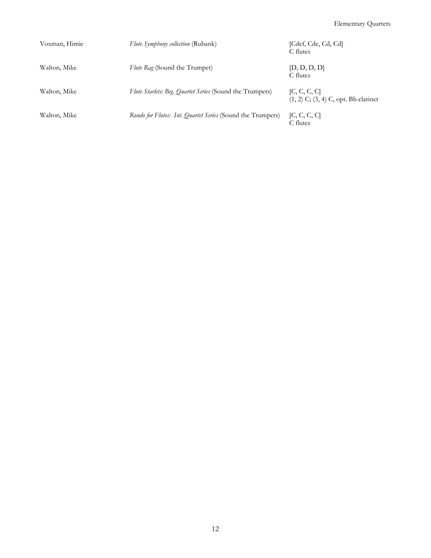| Voxman, Himie | <i>Flute Symphony collection</i> (Rubank)                  | [Cdef, Cde, Cd, Cd]<br>C flutes                          |
|---------------|------------------------------------------------------------|----------------------------------------------------------|
| Walton, Mike  | Flute Rag (Sound the Trumpet)                              | [D, D, D, D]<br>C flutes                                 |
| Walton, Mike  | Flute Starlets: Beg. Quartet Series (Sound the Trumpets)   | [C, C, C, C]<br>$(1, 2)$ C; $(3, 4)$ C, opt. Bb clarinet |
| Walton, Mike  | Rondo for Flutes: Int. Quartet Series (Sound the Trumpets) | [C, C, C, C]<br>C flutes                                 |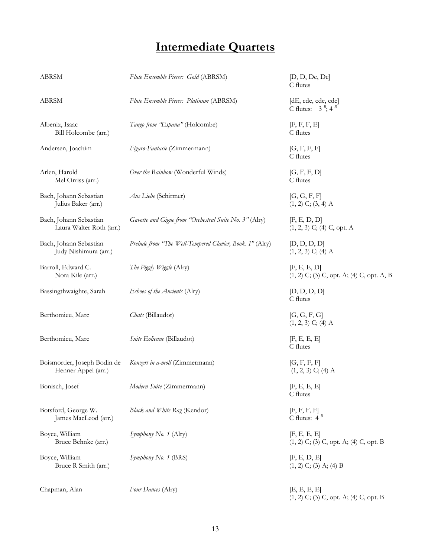# **Intermediate Quartets**

| ABRSM                                               | Flute Ensemble Pieces: Gold (ABRSM)                      | [D, D, De, De]<br>C flutes                                   |
|-----------------------------------------------------|----------------------------------------------------------|--------------------------------------------------------------|
| ABRSM                                               | Flute Ensemble Pieces: Platinum (ABRSM)                  | [dE, cde, cde, cde]<br>C flutes: $3^{B}$ ; 4 <sup>B</sup>    |
| Albeniz, Isaac<br>Bill Holcombe (arr.)              | Tango from "Espana" (Holcombe)                           | [F, F, F, E]<br>C flutes                                     |
| Andersen, Joachim                                   | Figaro-Fantasie (Zimmermann)                             | [G, F, F, F]<br>C flutes                                     |
| Arlen, Harold<br>Mel Orriss (arr.)                  | Over the Rainbow (Wonderful Winds)                       | [G, F, F, D]<br>C flutes                                     |
| Bach, Johann Sebastian<br>Julius Baker (arr.)       | Aus Liebe (Schirmer)                                     | [G, G, F, F]<br>$(1, 2)$ C; $(3, 4)$ A                       |
| Bach, Johann Sebastian<br>Laura Walter Roth (arr.)  | Gavotte and Gigue from "Orchestral Suite No. 3" (Alry)   | [F, E, D, D]<br>$(1, 2, 3)$ C; (4) C, opt. A                 |
| Bach, Johann Sebastian<br>Judy Nishimura (arr.)     | Prelude from "The Well-Tempered Clavier, Book. I" (Alry) | [D, D, D, D]<br>$(1, 2, 3)$ C; (4) A                         |
| Barroll, Edward C.<br>Nora Kile (arr.)              | The Piggly Wiggle (Alry)                                 | [F, E, E, D]<br>$(1, 2)$ C; (3) C, opt. A; (4) C, opt. A, B  |
| Bassingthwaighte, Sarah                             | Echoes of the Ancients (Alry)                            | [D, D, D, D]<br>C flutes                                     |
| Berthomieu, Marc                                    | Chats (Billaudot)                                        | [G, G, F, G]<br>$(1, 2, 3)$ C; (4) A                         |
| Berthomieu, Marc                                    | Suite Eolienne (Billaudot)                               | [F, E, E, E]<br>C flutes                                     |
| Boismortier, Joseph Bodin de<br>Henner Appel (arr.) | Konzert in a-moll (Zimmermann)                           | [G, F, F, F]<br>$(1, 2, 3)$ C; $(4)$ A                       |
| Bonisch, Josef                                      | Modern Suite (Zimmermann)                                | [F, E, E, E]<br>C flutes                                     |
| Botsford, George W.<br>James MacLeod (arr.)         | Black and White Rag (Kendor)                             | [F, F, F, F]<br>C flutes: $4^B$                              |
| Boyce, William<br>Bruce Behnke (arr.)               | Symphony No. 1 (Alry)                                    | [F, E, E, E]<br>$(1, 2)$ C; (3) C, opt. A; (4) C, opt. B     |
| Boyce, William<br>Bruce R Smith (arr.)              | Symphony No. 1 (BRS)                                     | [F, E, D, E]<br>$(1, 2)$ C; (3) A; (4) B                     |
| Chapman, Alan                                       | Four Dances (Alry)                                       | [E, E, E, E]<br>$(1, 2)$ C; $(3)$ C, opt. A; $(4)$ C, opt. B |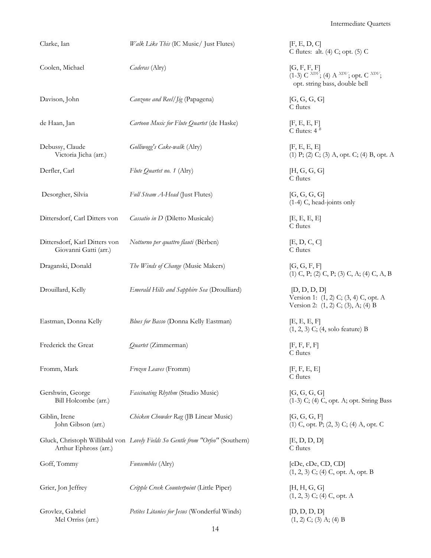Intermediate Quartets

| Clarke, Ian                                            | Walk Like This (IC Music/ Just Flutes)                                         | [F, E, D, C]<br>C flutes: alt. (4) C; opt. (5) C                                                         |
|--------------------------------------------------------|--------------------------------------------------------------------------------|----------------------------------------------------------------------------------------------------------|
| Coolen, Michael                                        | Caderas (Alry)                                                                 | [G, F, F, F]<br>$(1-3)$ C $^{XDV}$ ; (4) A $^{XDV}$ ; opt. C $^{XDV}$ ;<br>opt. string bass, double bell |
| Davison, John                                          | Canzone and Reel/Jig (Papagena)                                                | [G, G, G, G]<br>C flutes                                                                                 |
| de Haan, Jan                                           | Cartoon Music for Flute Quartet (de Haske)                                     | [F, E, E, F]<br>C flutes: $4^B$                                                                          |
| Debussy, Claude<br>Victoria Jicha (arr.)               | Golliwogg's Cake-walk (Alry)                                                   | [F, E, E, E]<br>(1) P; (2) C; (3) A, opt. C; (4) B, opt. A                                               |
| Derfler, Carl                                          | Flute Quartet no. 1 (Alry)                                                     | [H, G, G, G]<br>C flutes                                                                                 |
| Desorgher, Silvia                                      | Full Steam A-Head (Just Flutes)                                                | [G, G, G, G]<br>(1-4) C, head-joints only                                                                |
| Dittersdorf, Carl Ditters von                          | Cassatio in D (Diletto Musicale)                                               | [E, E, E, E]<br>C flutes                                                                                 |
| Dittersdorf, Karl Ditters von<br>Giovanni Gatti (arr.) | Notturno per quattro flauti (Bèrben)                                           | [E, D, C, C]<br>C flutes                                                                                 |
| Draganski, Donald                                      | The Winds of Change (Music Makers)                                             | [G, G, F, F]<br>$(1)$ C, P; $(2)$ C, P; $(3)$ C, A; $(4)$ C, A, B                                        |
| Drouillard, Kelly                                      | Emerald Hills and Sapphire Sea (Droulliard)                                    | [D, D, D, D]<br>Version 1: (1, 2) C; (3, 4) C, opt. A<br>Version 2: (1, 2) C; (3), A; (4) B              |
| Eastman, Donna Kelly                                   | Blues for Basso (Donna Kelly Eastman)                                          | E, E, E, F<br>$(1, 2, 3)$ C; $(4, \text{ solo feature})$ B                                               |
| Frederick the Great                                    | Quartet (Zimmerman)                                                            | [F, F, F, F]<br>C flutes                                                                                 |
| Fromm, Mark                                            | Frozen Leaves (Fromm)                                                          | [F, F, E, E]<br>C flutes                                                                                 |
| Gershwin, George<br>Bill Holcombe (arr.)               | Fascinating Rhythm (Studio Music)                                              | [G, G, G, G]<br>$(1-3)$ C; $(4)$ C, opt. A; opt. String Bass                                             |
| Giblin, Irene<br>John Gibson (arr.)                    | Chicken Chowder Rag (JB Linear Music)                                          | [G, G, G, F]<br>$(1)$ C, opt. P; $(2, 3)$ C; $(4)$ A, opt. C                                             |
| Arthur Ephross (arr.)                                  | Gluck, Christoph Willibald von Lovely Fields So Gentle from "Orfeo" (Southern) | [E, D, D, D]<br>C flutes                                                                                 |
| Goff, Tommy                                            | Funsembles (Alry)                                                              | [CDe, CDe, CD, CD]<br>$(1, 2, 3)$ C; (4) C, opt. A, opt. B                                               |
| Grier, Jon Jeffrey                                     | Cripple Creek Counterpoint (Little Piper)                                      | [H, H, G, G]<br>$(1, 2, 3)$ C; $(4)$ C, opt. A                                                           |
| Grovlez, Gabriel<br>Mel Orriss (arr.)                  | Petites Litanies for Jesus (Wonderful Winds)                                   | [D, D, D, D]<br>$(1, 2)$ C; $(3)$ A; $(4)$ B                                                             |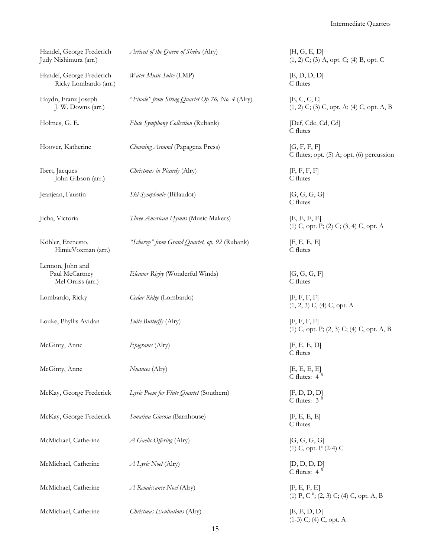Intermediate Quartets

| Handel, George Frederich<br>Judy Nishimura (arr.)       | Arrival of the Queen of Sheba (Alry)             | [H, G, E, D]<br>$(1, 2)$ C; (3) A, opt. C; (4) B, opt. C        |
|---------------------------------------------------------|--------------------------------------------------|-----------------------------------------------------------------|
| Handel, George Frederich<br>Ricky Lombardo (arr.)       | Water Music Suite (LMP)                          | [E, D, D, D]<br>C flutes                                        |
| Haydn, Franz Joseph<br>J. W. Downs (arr.)               | "Finale" from String Quartet Op 76, No. 4 (Alry) | [E, C, C, C]<br>$(1, 2)$ C; (3) C, opt. A; (4) C, opt. A, B     |
| Holmes, G. E.                                           | Flute Symphony Collection (Rubank)               | [Def, Cde, Cd, Cd]<br>C flutes                                  |
| Hoover, Katherine                                       | Clowning Around (Papagena Press)                 | [G, F, F, F]<br>C flutes; opt. (5) A; opt. (6) percussion       |
| Ibert, Jacques<br>John Gibson (arr.)                    | Christmas in Picardy (Alry)                      | [F, F, F, F]<br>C flutes                                        |
| Jeanjean, Faustin                                       | Ski-Symphonie (Billaudot)                        | [G, G, G, G]<br>C flutes                                        |
| Jicha, Victoria                                         | Three American Hymns (Music Makers)              | [E, E, E, E]<br>$(1)$ C, opt. P; $(2)$ C; $(3, 4)$ C, opt. A    |
| Köhler, Erenesto,<br>HimieVoxman (arr.)                 | "Scherzo" from Grand Quartet, op. 92 (Rubank)    | [F, E, E, E]<br>C flutes                                        |
| Lennon, John and<br>Paul McCartney<br>Mel Orriss (arr.) | Eleanor Rigby (Wonderful Winds)                  | [G, G, G, F]<br>C flutes                                        |
| Lombardo, Ricky                                         | Cedar Ridge (Lombardo)                           | [F, F, F, F]<br>$(1, 2, 3)$ C, $(4)$ C, opt. A                  |
| Louke, Phyllis Avidan                                   | Suite Butterfly (Alry)                           | [F, F, F, F]<br>$(1)$ C, opt. P; $(2, 3)$ C; $(4)$ C, opt. A, B |
| McGinty, Anne                                           | Epigrams (Alry)                                  | [F, E, E, D]<br>C flutes                                        |
| McGinty, Anne                                           | Nuances (Alry)                                   | [E, E, E, E]<br>C flutes: $4^B$                                 |
| McKay, George Frederick                                 | Lyric Poem for Flute Quartet (Southern)          | [F, D, D, D]<br>C flutes: $3^{\overline{B}}$                    |
| McKay, George Frederick                                 | Sonatina Giocosa (Barnhouse)                     | [F, E, E, E]<br>C flutes                                        |
| McMichael, Catherine                                    | A Gaelic Offering (Alry)                         | [G, G, G, G]<br>$(1)$ C, opt. P $(2-4)$ C                       |
| McMichael, Catherine                                    | A Lyric Noel (Alry)                              | [D, D, D, D]<br>C flutes: $4^B$                                 |
| McMichael, Catherine                                    | A Renaissance Noel (Alry)                        | [F, E, F, E]<br>(1) P, C $^{B}$ ; (2, 3) C; (4) C, opt. A, B    |
| McMichael, Catherine                                    | Christmas Exultations (Alry)                     | [E, E, D, D]<br>$(1-3)$ C; $(4)$ C, opt. A                      |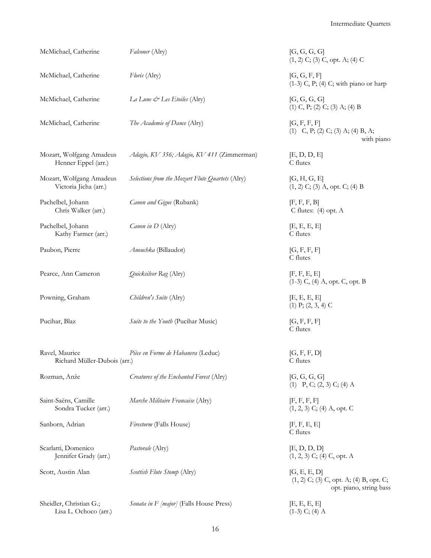| McMichael, Catherine                              | Falconer (Alry)                                  | [G, G, G, G]<br>$(1, 2)$ C; (3) C, opt. A; (4) C                                     |
|---------------------------------------------------|--------------------------------------------------|--------------------------------------------------------------------------------------|
| McMichael, Catherine                              | Floris (Alry)                                    | [G, G, F, F]<br>$(1-3)$ C, P; $(4)$ C; with piano or harp                            |
| McMichael, Catherine                              | La Lune & Les Etoiles (Alry)                     | [G, G, G, G]<br>$(1)$ C, P; $(2)$ C; $(3)$ A; $(4)$ B                                |
| McMichael, Catherine                              | The Academie of Dance (Alry)                     | [G, F, F, F]<br>$(1)$ C, P; $(2)$ C; $(3)$ A; $(4)$ B, A;<br>with piano              |
| Mozart, Wolfgang Amadeus<br>Henner Eppel (arr.)   | Adagio, KV 356; Adagio, KV 411 (Zimmerman)       | [E, D, D, E]<br>C flutes                                                             |
| Mozart, Wolfgang Amadeus<br>Victoria Jicha (arr.) | Selections from the Mozart Flute Quartets (Alry) | [G, H, G, E]<br>$(1, 2)$ C; (3) A, opt. C; (4) B                                     |
| Pachelbel, Johann<br>Chris Walker (arr.)          | Canon and Gigue (Rubank)                         | [F, F, F, B]<br>C flutes: $(4)$ opt. A                                               |
| Pachelbel, Johann<br>Kathy Farmer (arr.)          | Canon in D (Alry)                                | [E, E, E, E]<br>C flutes                                                             |
| Paubon, Pierre                                    | Anouchka (Billaudot)                             | [G, F, F, F]<br>C flutes                                                             |
| Pearce, Ann Cameron                               | Quicksilver Rag (Alry)                           | [F, F, E, E]<br>$(1-3)$ C, $(4)$ A, opt. C, opt. B                                   |
| Powning, Graham                                   | Children's Suite (Alry)                          | [E, E, E, E]<br>$(1)$ P; $(2, 3, 4)$ C                                               |
| Pucihar, Blaz                                     | Suite to the Youth (Pucihar Music)               | [G, F, F, F]<br>C flutes                                                             |
| Ravel, Maurice<br>Richard Müller-Dubois (arr.)    | Pièce en Forme de Habanera (Leduc)               | [G, F, F, D]<br>C flutes                                                             |
| Rozman, Anže                                      | Creatures of the Enchanted Forest (Alry)         | [G, G, G, G]<br>$(1)$ P, C; $(2, 3)$ C; $(4)$ A                                      |
| Saint-Saëns, Camille<br>Sondra Tucker (arr.)      | Marche Militaire Francaise (Alry)                | [F, F, F, F]<br>$(1, 2, 3)$ C; $(4)$ A, opt. C                                       |
| Sanborn, Adrian                                   | Firestorm (Falls House)                          | [F, F, E, E]<br>C flutes                                                             |
| Scarlatti, Domenico<br>Jennifer Grady (arr.)      | Pastorale (Alry)                                 | [E, D, D, D]<br>$(1, 2, 3)$ C; $(4)$ C, opt. A                                       |
| Scott, Austin Alan                                | Scottish Flute Stomp (Alry)                      | [G, E, E, D]<br>$(1, 2)$ C; (3) C, opt. A; (4) B, opt. C;<br>opt. piano, string bass |
| Sheidler, Christian G.;<br>Lisa L. Ochoco (arr.)  | <i>Sonata in F [major]</i> (Falls House Press)   | [E, E, E, E]<br>$(1-3)$ C; $(4)$ A                                                   |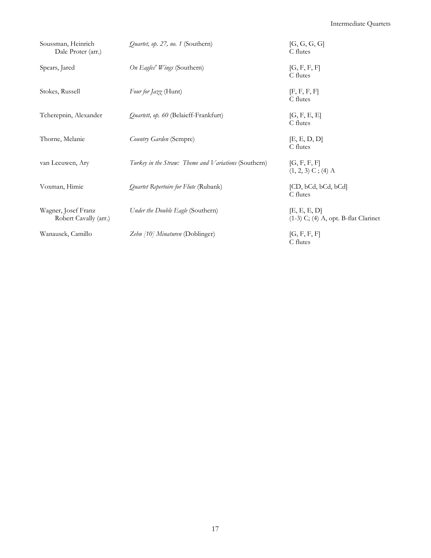| Soussman, Heinrich<br>Dale Proter (arr.)     | Quartet, op. 27, no. 1 (Southern)                    | [G, G, G, G]<br>C flutes                                 |
|----------------------------------------------|------------------------------------------------------|----------------------------------------------------------|
| Spears, Jared                                | On Eagles' Wings (Southern)                          | [G, F, F, F]<br>C flutes                                 |
| Stokes, Russell                              | Four for Jazz (Hunt)                                 | [F, F, F, F]<br>C flutes                                 |
| Tcherepnin, Alexander                        | <i>Quartett, op. 60</i> (Belaieff-Frankfurt)         | [G, F, E, E]<br>C flutes                                 |
| Thorne, Melanie                              | Country Garden (Sempre)                              | [E, E, D, D]<br>C flutes                                 |
| van Leeuwen, Ary                             | Turkey in the Straw: Theme and Variations (Southern) | [G, F, F, F]<br>$(1, 2, 3)$ C; (4) A                     |
| Voxman, Himie                                | Quartet Repertoire for Flute (Rubank)                | [CD, bCd, bCd, bCd]<br>C flutes                          |
| Wagner, Josef Franz<br>Robert Cavally (arr.) | Under the Double Eagle (Southern)                    | [E, E, E, D]<br>$(1-3)$ C; $(4)$ A, opt. B-flat Clarinet |
| Wanausek, Camillo                            | Zehn [10] Minaturen (Doblinger)                      | [G, F, F, F]<br>C flutes                                 |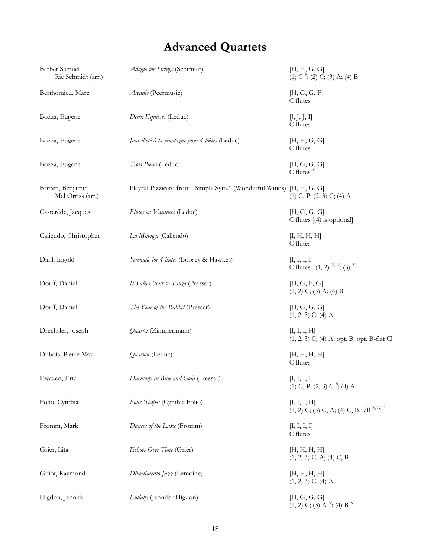# **Advanced Quartets**

| Barber Samuel<br>Rie Schmidt (arr.)    | Adagio for Strings (Schirmer)                                       | [H, H, G, G]<br>$(1)$ C $^{B}$ ; (2) C; (3) A; (4) B                   |
|----------------------------------------|---------------------------------------------------------------------|------------------------------------------------------------------------|
| Berthomieu, Marc                       | Arcadie (Peermusic)                                                 | [H, G, G, F]<br>C flutes                                               |
| Bozza, Eugene                          | Deux Equisses (Leduc)                                               | [J, J, J, I]<br>C flutes                                               |
| Bozza, Eugene                          | Jour d'été à la montagne pour 4 flûtes (Leduc)                      | [H, H, G, G]<br>C flutes                                               |
| Bozza, Eugene                          | Trois Pieces (Leduc)                                                | [H, G, G, G]<br>$\overline{C}$ flutes $X$                              |
| Britten, Benjamin<br>Mel Orriss (arr.) | Playful Pizzicato from "Simple Sym." (Wonderful Winds) [H, H, G, G] | $(1)$ C, P; $(2, 3)$ C; $(4)$ A                                        |
| Casterède, Jacques                     | Flûtes en Vacances (Leduc)                                          | [H, G, G, G]<br>C flutes $[(4)$ is optional]                           |
| Caliendo, Christopher                  | La Milonga (Caliendo)                                               | [I, H, H, H]<br>C flutes                                               |
| Dahl, Ingold                           | Serenade for 4 flutes (Boosey & Hawkes)                             | [I, I, I, I]<br>C flutes: $(1, 2)$ <sup>X, N</sup> ; (3) <sup>X</sup>  |
| Dorff, Daniel                          | It Takes Four to Tango (Presser)                                    | [H, G, F, G]<br>$(1, 2)$ C; (3) A; (4) B                               |
| Dorff, Daniel                          | The Year of the Rabbit (Presser)                                    | [H, G, G, G]<br>$(1, 2, 3)$ C; (4) A                                   |
| Drechsler, Joseph                      | Quartet (Zimmermann)                                                | [I, I, I, H]<br>$(1, 2, 3)$ C; (4) A, opt. B, opt. B-flat Cl           |
| Dubois, Pierre Max                     | Quatuor (Leduc)                                                     | [H, H, H, H]<br>C flutes                                               |
| Ewazen, Eric                           | Harmony in Blue and Gold (Presser)                                  | [I, I, I, I]<br>(1) C, P; (2, 3) C $B$ ; (4) A                         |
| Folio, Cynthia                         | Four 'Scapes (Cynthia Folio)                                        | [I, I, I, H]<br>$(1, 2)$ C; (3) C, A; (4) C, B: all <sup>X, N, O</sup> |
| Fromm, Mark                            | Dances of the Lake (Fromm)                                          | [I, I, I, I]<br>C flutes                                               |
| Grier, Lita                            | Echoes Over Time (Grier)                                            | [H, H, H, H]<br>$(1, 2, 3)$ C, A; $(4)$ C, B                           |
| Guiot, Raymond                         | Divertimento-Jazz (Lemoine)                                         | [H, H, H, H]<br>$(1, 2, 3)$ C; (4) A                                   |
| Higdon, Jennifer                       | Lullaby (Jennifer Higdon)                                           | [H, G, G, G]<br>$(1, 2)$ C; (3) A <sup>N</sup> ; (4) B <sup>N</sup>    |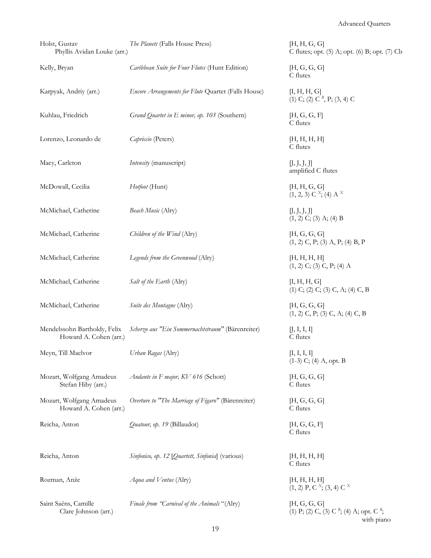| Holst, Gustav<br>Phyllis Avidan Louke (arr.)           | The Planets (Falls House Press)                     | [H, H, G, G]<br>C flutes; opt. (5) A; opt. (6) B; opt. (7) Cb                     |
|--------------------------------------------------------|-----------------------------------------------------|-----------------------------------------------------------------------------------|
| Kelly, Bryan                                           | Caribbean Suite for Four Flutes (Hunt Edition)      | [H, G, G, G]<br>C flutes                                                          |
| Karpyak, Andriy (arr.)                                 | Encore Arrangements for Flute Quartet (Falls House) | [I, H, H, G]<br>(1) C; (2) C <sup>B</sup> , P; (3, 4) C                           |
| Kuhlau, Friedrich                                      | Grand Quartet in E minor, op. 103 (Southern)        | [H, G, G, F]<br>C flutes                                                          |
| Lorenzo, Leonardo de                                   | Capriccio (Peters)                                  | [H, H, H, H]<br>C flutes                                                          |
| Macy, Carleton                                         | Intensity (manuscript)                              | [J, J, J, J]<br>amplified C flutes                                                |
| McDowall, Cecilia                                      | Hotfoot (Hunt)                                      | [H, H, G, G]<br>$(1, 2, 3)$ C $^{X}$ ; (4) A $^{X}$                               |
| McMichael, Catherine                                   | Beach Music (Alry)                                  | [J, J, J, J]<br>$(1, 2)$ C; (3) A; (4) B                                          |
| McMichael, Catherine                                   | Children of the Wind (Alry)                         | [H, G, G, G]<br>$(1, 2)$ C, P; (3) A, P; (4) B, P                                 |
| McMichael, Catherine                                   | Legends from the Greenwood (Alry)                   | [H, H, H, H]<br>$(1, 2)$ C; $(3)$ C, P; $(4)$ A                                   |
| McMichael, Catherine                                   | Salt of the Earth (Alry)                            | [I, H, H, G]<br>$(1)$ C; $(2)$ C; $(3)$ C, A; $(4)$ C, B                          |
| McMichael, Catherine                                   | Suite des Montagne (Alry)                           | [H, G, G, G]<br>$(1, 2)$ C, P; $(3)$ C, A; $(4)$ C, B                             |
| Mendelssohn Bartholdy, Felix<br>Howard A. Cohen (arr.) | Scherzo aus "Ein Sommernachtstraum" (Bärenreiter)   | [J, I, I, I]<br>C flutes                                                          |
| Meyn, Till Maclvor                                     | Urban Ragas (Alry)                                  | [I, I, I, I]<br>$(1-3)$ C; $(4)$ A, opt. B                                        |
| Mozart, Wolfgang Amadeus<br>Stefan Hiby (arr.)         | Andante in F major, KV 616 (Schott)                 | [H, G, G, G]<br>C flutes                                                          |
| Mozart, Wolfgang Amadeus<br>Howard A. Cohen (arr.)     | Overture to "The Marriage of Figaro" (Bärenreiter)  | [H, G, G, G]<br>C flutes                                                          |
| Reicha, Anton                                          | Quatour, op. 19 (Billaudot)                         | [H, G, G, F]<br>C flutes                                                          |
| Reicha, Anton                                          | Sinfonico, op. 12 [Quartett, Sinfonia] (various)    | [H, H, H, H]<br>C flutes                                                          |
| Rozman, Anže                                           | Aqua and Ventus (Alry)                              | [H, H, H, H]<br>$(1, 2)$ P, C <sup>x</sup> ; $(3, 4)$ C <sup>x</sup>              |
| Saint Saëns, Camille<br>Clare Johnson (arr.)           | Finale from "Carnival of the Animals "(Alry)        | [H, G, G, G]<br>(1) P; (2) C, (3) C $^{B}$ ; (4) A; opt. C $^{B}$ ;<br>with piano |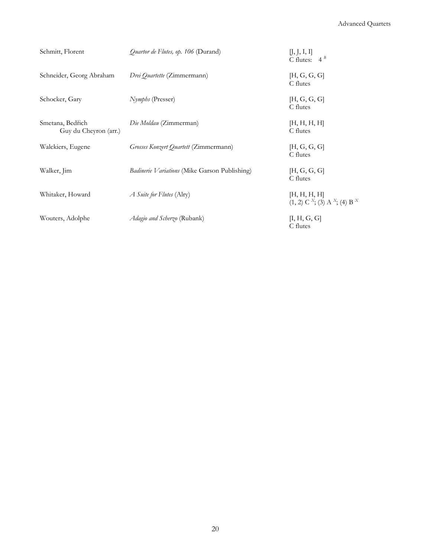| Schmitt, Florent                          | <i>Quartor de Flutes, op. 106</i> (Durand)    | [J, J, I, I]<br>C flutes: $4^B$                                                 |
|-------------------------------------------|-----------------------------------------------|---------------------------------------------------------------------------------|
| Schneider, Georg Abraham                  | Drei Quartette (Zimmermann)                   | [H, G, G, G]<br>C flutes                                                        |
| Schocker, Gary                            | <i>Nymphs</i> (Presser)                       | [H, G, G, G]<br>C flutes                                                        |
| Smetana, Bedřich<br>Guy du Cheyron (arr.) | Die Moldau (Zimmerman)                        | [H, H, H, H]<br>C flutes                                                        |
| Walckiers, Eugene                         | Grosses Konzert Quartett (Zimmermann)         | [H, G, G, G]<br>C flutes                                                        |
| Walker, Jim                               | Badinerie Variations (Mike Garson Publishing) | [H, G, G, G]<br>C flutes                                                        |
| Whitaker, Howard                          | A Suite for Flutes (Alry)                     | [H, H, H, H]<br>(1, 2) C <sup>x</sup> ; (3) A <sup>x</sup> ; (4) B <sup>x</sup> |
| Wouters, Adolphe                          | Adagio and Scherzo (Rubank)                   | [I, H, G, G]<br>C flutes                                                        |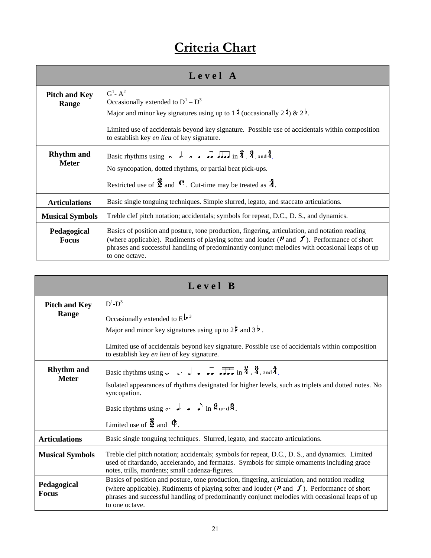# **Criteria Chart**

| Level A                           |                                                                                                                                                                                                                                                                                                                                          |
|-----------------------------------|------------------------------------------------------------------------------------------------------------------------------------------------------------------------------------------------------------------------------------------------------------------------------------------------------------------------------------------|
| <b>Pitch and Key</b><br>Range     | $G^1$ - $A^2$<br>Occasionally extended to $D^1 - D^3$<br>Major and minor key signatures using up to $1\frac{1}{2}$ (occasionally $2\frac{1}{2}$ ) & $2^{\frac{1}{2}}$ .<br>Limited use of accidentals beyond key signature. Possible use of accidentals within composition<br>to establish key en lieu of key signature.                 |
| <b>Rhythm</b> and<br><b>Meter</b> | No syncopation, dotted rhythms, or partial beat pick-ups.<br>Restricted use of $\frac{3}{2}$ and $\frac{1}{2}$ . Cut-time may be treated as $\frac{4}{4}$ .                                                                                                                                                                              |
| <b>Articulations</b>              | Basic single tonguing techniques. Simple slurred, legato, and staccato articulations.                                                                                                                                                                                                                                                    |
| <b>Musical Symbols</b>            | Treble clef pitch notation; accidentals; symbols for repeat, D.C., D. S., and dynamics.                                                                                                                                                                                                                                                  |
| Pedagogical<br><b>Focus</b>       | Basics of position and posture, tone production, fingering, articulation, and notation reading<br>(where applicable). Rudiments of playing softer and louder ( $\mathbf{P}$ and $\mathbf{f}$ ). Performance of short<br>phrases and successful handling of predominantly conjunct melodies with occasional leaps of up<br>to one octave. |

| Level B                     |                                                                                                                                                                                                                                                                                                                                          |
|-----------------------------|------------------------------------------------------------------------------------------------------------------------------------------------------------------------------------------------------------------------------------------------------------------------------------------------------------------------------------------|
| <b>Pitch and Key</b>        | $D^1 - D^3$                                                                                                                                                                                                                                                                                                                              |
| Range                       | Occasionally extended to $E^{\frac{1}{p}^3}$                                                                                                                                                                                                                                                                                             |
|                             | Major and minor key signatures using up to $2^{\frac{1}{2}}$ and $3^{\frac{1}{2}}$ .                                                                                                                                                                                                                                                     |
|                             | Limited use of accidentals beyond key signature. Possible use of accidentals within composition<br>to establish key en lieu of key signature.                                                                                                                                                                                            |
| <b>Rhythm and</b>           | Basic rhythms using $\sim$ $\frac{1}{2}$ $\frac{1}{2}$ $\frac{1}{2}$ $\frac{1}{2}$ $\frac{1}{2}$ in $\frac{2}{4}$ , $\frac{3}{4}$ , and $\frac{4}{4}$ .                                                                                                                                                                                  |
| <b>Meter</b>                | Isolated appearances of rhythms designated for higher levels, such as triplets and dotted notes. No<br>syncopation.                                                                                                                                                                                                                      |
|                             | Basic rhythms using $\circ \cdot$ $\cdot$ $\cdot$ $\cdot$ $\circ$ $\cdot$ in $\frac{6}{5}$ and $\frac{3}{5}$ .                                                                                                                                                                                                                           |
|                             | Limited use of $\frac{3}{2}$ and $\Phi$ .                                                                                                                                                                                                                                                                                                |
| <b>Articulations</b>        | Basic single tonguing techniques. Slurred, legato, and staccato articulations.                                                                                                                                                                                                                                                           |
| <b>Musical Symbols</b>      | Treble clef pitch notation; accidentals; symbols for repeat, D.C., D. S., and dynamics. Limited<br>used of ritardando, accelerando, and fermatas. Symbols for simple ornaments including grace<br>notes, trills, mordents; small cadenza-figures.                                                                                        |
| Pedagogical<br><b>Focus</b> | Basics of position and posture, tone production, fingering, articulation, and notation reading<br>(where applicable). Rudiments of playing softer and louder ( $\mathbf{P}$ and $\mathbf{f}$ ). Performance of short<br>phrases and successful handling of predominantly conjunct melodies with occasional leaps of up<br>to one octave. |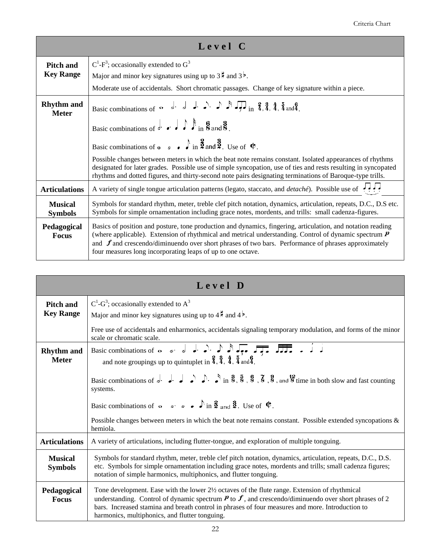| Level C                           |                                                                                                                                                                                                                                                                                                                                                                                                     |
|-----------------------------------|-----------------------------------------------------------------------------------------------------------------------------------------------------------------------------------------------------------------------------------------------------------------------------------------------------------------------------------------------------------------------------------------------------|
| <b>Pitch and</b>                  | $C^1$ -F <sup>3</sup> ; occasionally extended to $G^3$                                                                                                                                                                                                                                                                                                                                              |
| <b>Key Range</b>                  | Major and minor key signatures using up to $3\frac{1}{2}$ and $3\frac{1}{2}$ .                                                                                                                                                                                                                                                                                                                      |
|                                   | Moderate use of accidentals. Short chromatic passages. Change of key signature within a piece.                                                                                                                                                                                                                                                                                                      |
| <b>Rhythm</b> and<br><b>Meter</b> | Basic combinations of $\sim$ d. d. d. d. $\rightarrow$ $\approx$ $\sqrt{2}$ $\sqrt{2}$ in $\frac{2}{4}$ , $\frac{3}{4}$ , $\frac{4}{4}$ , $\frac{5}{4}$ and $\frac{6}{4}$ .                                                                                                                                                                                                                         |
|                                   | Basic combinations of $\ell$ or $\ell$ $\ell$ in $\mathcal{S}$ and $\mathcal{S}$ .                                                                                                                                                                                                                                                                                                                  |
|                                   | Basic combinations of $\circ \circ \circ \circ \circ \circ \circ \circ \circ \circ \circ \circ$ .                                                                                                                                                                                                                                                                                                   |
|                                   | Possible changes between meters in which the beat note remains constant. Isolated appearances of rhythms<br>designated for later grades. Possible use of simple syncopation, use of ties and rests resulting in syncopated<br>rhythms and dotted figures, and thirty-second note pairs designating terminations of Baroque-type trills.                                                             |
| <b>Articulations</b>              | A variety of single tongue articulation patterns (legato, staccato, and <i>detaché</i> ). Possible use of $\overrightarrow{P}$ .                                                                                                                                                                                                                                                                    |
| <b>Musical</b><br><b>Symbols</b>  | Symbols for standard rhythm, meter, treble clef pitch notation, dynamics, articulation, repeats, D.C., D.S etc.<br>Symbols for simple ornamentation including grace notes, mordents, and trills: small cadenza-figures.                                                                                                                                                                             |
| Pedagogical<br><b>Focus</b>       | Basics of position and posture, tone production and dynamics, fingering, articulation, and notation reading<br>(where applicable). Extension of rhythmical and metrical understanding. Control of dynamic spectrum $\bm{P}$<br>and $f$ and crescendo/diminuendo over short phrases of two bars. Performance of phrases approximately<br>four measures long incorporating leaps of up to one octave. |

| Level D                              |                                                                                                                                                                                                                                                                                                                                                                                                                                                                                                          |
|--------------------------------------|----------------------------------------------------------------------------------------------------------------------------------------------------------------------------------------------------------------------------------------------------------------------------------------------------------------------------------------------------------------------------------------------------------------------------------------------------------------------------------------------------------|
| <b>Pitch and</b><br><b>Key Range</b> | $C^1$ -G <sup>3</sup> ; occasionally extended to $A^3$<br>Major and minor key signatures using up to $4\frac{1}{7}$ and $4\frac{1}{7}$ .                                                                                                                                                                                                                                                                                                                                                                 |
|                                      | Free use of accidentals and enharmonics, accidentals signaling temporary modulation, and forms of the minor<br>scale or chromatic scale.                                                                                                                                                                                                                                                                                                                                                                 |
| <b>Rhythm</b> and<br><b>Meter</b>    | and note groupings up to quintuplet in $\frac{2}{3}$ , $\frac{3}{4}$ , $\frac{4}{4}$ , $\frac{5}{4}$ and $\frac{6}{4}$ .                                                                                                                                                                                                                                                                                                                                                                                 |
|                                      | Basic combinations of $\overrightarrow{e}$ . $\overrightarrow{e}$ $\overrightarrow{e}$ $\overrightarrow{e}$ $\overrightarrow{e}$ in $\overrightarrow{8}$ , $\overrightarrow{8}$ , $\overrightarrow{8}$ , $\overrightarrow{8}$ , $\overrightarrow{8}$ , $\overrightarrow{8}$ , $\overrightarrow{8}$ , $\overrightarrow{8}$ , $\overrightarrow{8}$ , $\overrightarrow{8}$ , $\overrightarrow{8}$ , $\overrightarrow{8}$ , $\overrightarrow{8}$ , $\overrightarrow{8}$ and $\overrightarrow{8}$<br>systems. |
|                                      | Basic combinations of $\sim$ $\sim$ $\sim$ $\sim$ $\sim$ $\ln \frac{3}{2}$ and $\frac{3}{2}$ . Use of $\Phi$ .                                                                                                                                                                                                                                                                                                                                                                                           |
|                                      | Possible changes between meters in which the beat note remains constant. Possible extended syncopations &<br>hemiola.                                                                                                                                                                                                                                                                                                                                                                                    |
| <b>Articulations</b>                 | A variety of articulations, including flutter-tongue, and exploration of multiple tonguing.                                                                                                                                                                                                                                                                                                                                                                                                              |
| <b>Musical</b><br><b>Symbols</b>     | Symbols for standard rhythm, meter, treble clef pitch notation, dynamics, articulation, repeats, D.C., D.S.<br>etc. Symbols for simple ornamentation including grace notes, mordents and trills; small cadenza figures;<br>notation of simple harmonics, multiphonics, and flutter tonguing.                                                                                                                                                                                                             |
| Pedagogical<br><b>Focus</b>          | Tone development. Ease with the lower 21/2 octaves of the flute range. Extension of rhythmical<br>understanding. Control of dynamic spectrum $P$ to $\hat{J}$ , and crescendo/diminuendo over short phrases of 2<br>bars. Increased stamina and breath control in phrases of four measures and more. Introduction to<br>harmonics, multiphonics, and flutter tonguing.                                                                                                                                   |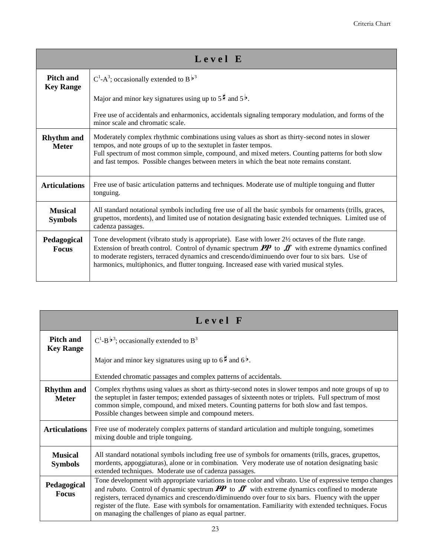| Level E                              |                                                                                                                                                                                                                                                                                                                                                                                                                                                |
|--------------------------------------|------------------------------------------------------------------------------------------------------------------------------------------------------------------------------------------------------------------------------------------------------------------------------------------------------------------------------------------------------------------------------------------------------------------------------------------------|
| <b>Pitch and</b><br><b>Key Range</b> | $C^1$ -A <sup>3</sup> ; occasionally extended to B <sup>b<sub>3</sub></sup>                                                                                                                                                                                                                                                                                                                                                                    |
|                                      | Major and minor key signatures using up to $5\frac{1}{2}$ and $5\frac{1}{2}$ .                                                                                                                                                                                                                                                                                                                                                                 |
|                                      | Free use of accidentals and enharmonics, accidentals signaling temporary modulation, and forms of the<br>minor scale and chromatic scale.                                                                                                                                                                                                                                                                                                      |
| <b>Rhythm</b> and<br><b>Meter</b>    | Moderately complex rhythmic combinations using values as short as thirty-second notes in slower<br>tempos, and note groups of up to the sextuplet in faster tempos.<br>Full spectrum of most common simple, compound, and mixed meters. Counting patterns for both slow<br>and fast tempos. Possible changes between meters in which the beat note remains constant.                                                                           |
| <b>Articulations</b>                 | Free use of basic articulation patterns and techniques. Moderate use of multiple tonguing and flutter<br>tonguing.                                                                                                                                                                                                                                                                                                                             |
| <b>Musical</b><br><b>Symbols</b>     | All standard notational symbols including free use of all the basic symbols for ornaments (trills, graces,<br>grupettos, mordents), and limited use of notation designating basic extended techniques. Limited use of<br>cadenza passages.                                                                                                                                                                                                     |
| Pedagogical<br><b>Focus</b>          | Tone development (vibrato study is appropriate). Ease with lower $2\frac{1}{2}$ octaves of the flute range.<br>Extension of breath control. Control of dynamic spectrum $\mathbf{P} \mathbf{P}$ to $\mathbf{F}$ with extreme dynamics confined<br>to moderate registers, terraced dynamics and crescendo/diminuendo over four to six bars. Use of<br>harmonics, multiphonics, and flutter tonguing. Increased ease with varied musical styles. |

| Level F                              |                                                                                                                                                                                                                                                                                                                                                                                                                                                                                                                 |
|--------------------------------------|-----------------------------------------------------------------------------------------------------------------------------------------------------------------------------------------------------------------------------------------------------------------------------------------------------------------------------------------------------------------------------------------------------------------------------------------------------------------------------------------------------------------|
| <b>Pitch and</b><br><b>Key Range</b> | $C^1-B^{\frac{1}{p}3}$ ; occasionally extended to $B^3$                                                                                                                                                                                                                                                                                                                                                                                                                                                         |
|                                      | Major and minor key signatures using up to $6\frac{1}{2}$ and $6\frac{1}{2}$ .                                                                                                                                                                                                                                                                                                                                                                                                                                  |
|                                      | Extended chromatic passages and complex patterns of accidentals.                                                                                                                                                                                                                                                                                                                                                                                                                                                |
| <b>Rhythm</b> and<br><b>Meter</b>    | Complex rhythms using values as short as thirty-second notes in slower tempos and note groups of up to<br>the septuplet in faster tempos; extended passages of sixteenth notes or triplets. Full spectrum of most<br>common simple, compound, and mixed meters. Counting patterns for both slow and fast tempos.<br>Possible changes between simple and compound meters.                                                                                                                                        |
| <b>Articulations</b>                 | Free use of moderately complex patterns of standard articulation and multiple tonguing, sometimes<br>mixing double and triple tonguing.                                                                                                                                                                                                                                                                                                                                                                         |
| <b>Musical</b><br><b>Symbols</b>     | All standard notational symbols including free use of symbols for ornaments (trills, graces, grupettos,<br>mordents, appoggiaturas), alone or in combination. Very moderate use of notation designating basic<br>extended techniques. Moderate use of cadenza passages.                                                                                                                                                                                                                                         |
| Pedagogical<br><b>Focus</b>          | Tone development with appropriate variations in tone color and vibrato. Use of expressive tempo changes<br>and <i>rubato</i> . Control of dynamic spectrum $\mathbf{PP}$ to $\mathbf{ff}$ with extreme dynamics confined to moderate<br>registers, terraced dynamics and crescendo/diminuendo over four to six bars. Fluency with the upper<br>register of the flute. Ease with symbols for ornamentation. Familiarity with extended techniques. Focus<br>on managing the challenges of piano as equal partner. |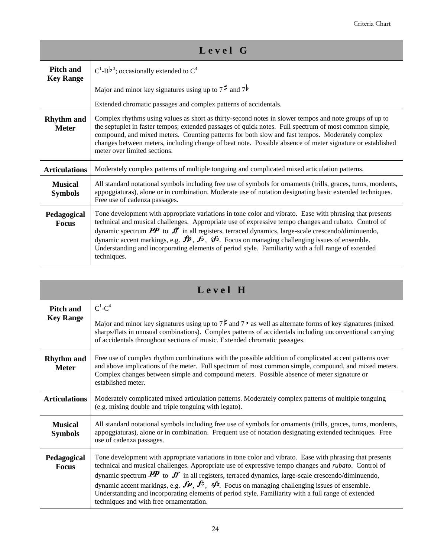| Level G                              |                                                                                                                                                                                                                                                                                                                                                                                                                                                                                                                                                                                     |
|--------------------------------------|-------------------------------------------------------------------------------------------------------------------------------------------------------------------------------------------------------------------------------------------------------------------------------------------------------------------------------------------------------------------------------------------------------------------------------------------------------------------------------------------------------------------------------------------------------------------------------------|
| <b>Pitch and</b><br><b>Key Range</b> | $C^1-B^{\frac{1}{p}3}$ ; occasionally extended to $C^4$                                                                                                                                                                                                                                                                                                                                                                                                                                                                                                                             |
|                                      | Major and minor key signatures using up to $7\frac{4}{3}$ and $7\frac{1}{9}$                                                                                                                                                                                                                                                                                                                                                                                                                                                                                                        |
|                                      | Extended chromatic passages and complex patterns of accidentals.                                                                                                                                                                                                                                                                                                                                                                                                                                                                                                                    |
| <b>Rhythm</b> and<br><b>Meter</b>    | Complex rhythms using values as short as thirty-second notes in slower tempos and note groups of up to<br>the septuplet in faster tempos; extended passages of quick notes. Full spectrum of most common simple,<br>compound, and mixed meters. Counting patterns for both slow and fast tempos. Moderately complex<br>changes between meters, including change of beat note. Possible absence of meter signature or established<br>meter over limited sections.                                                                                                                    |
| <b>Articulations</b>                 | Moderately complex patterns of multiple tonguing and complicated mixed articulation patterns.                                                                                                                                                                                                                                                                                                                                                                                                                                                                                       |
| <b>Musical</b><br><b>Symbols</b>     | All standard notational symbols including free use of symbols for ornaments (trills, graces, turns, mordents,<br>appoggiaturas), alone or in combination. Moderate use of notation designating basic extended techniques.<br>Free use of cadenza passages.                                                                                                                                                                                                                                                                                                                          |
| Pedagogical<br><b>Focus</b>          | Tone development with appropriate variations in tone color and vibrato. Ease with phrasing that presents<br>technical and musical challenges. Appropriate use of expressive tempo changes and rubato. Control of<br>dynamic spectrum $PP$ to $ff$ in all registers, terraced dynamics, large-scale crescendo/diminuendo,<br>dynamic accent markings, e.g. $\mathbf{fp}$ , $\mathbf{f}^2$ , $\mathbf{f}^2$ . Focus on managing challenging issues of ensemble.<br>Understanding and incorporating elements of period style. Familiarity with a full range of extended<br>techniques. |

| Level H                           |                                                                                                                                                                                                                                                                                                                                                                                                                                                                                                                                                                                                                              |
|-----------------------------------|------------------------------------------------------------------------------------------------------------------------------------------------------------------------------------------------------------------------------------------------------------------------------------------------------------------------------------------------------------------------------------------------------------------------------------------------------------------------------------------------------------------------------------------------------------------------------------------------------------------------------|
| <b>Pitch and</b>                  | $C^1$ - $C^4$                                                                                                                                                                                                                                                                                                                                                                                                                                                                                                                                                                                                                |
| <b>Key Range</b>                  | Major and minor key signatures using up to $7^{\frac{1}{2}}$ and $7^{\frac{1}{2}}$ as well as alternate forms of key signatures (mixed<br>sharps/flats in unusual combinations). Complex patterns of accidentals including unconventional carrying<br>of accidentals throughout sections of music. Extended chromatic passages.                                                                                                                                                                                                                                                                                              |
| <b>Rhythm</b> and<br><b>Meter</b> | Free use of complex rhythm combinations with the possible addition of complicated accent patterns over<br>and above implications of the meter. Full spectrum of most common simple, compound, and mixed meters.<br>Complex changes between simple and compound meters. Possible absence of meter signature or<br>established meter.                                                                                                                                                                                                                                                                                          |
| <b>Articulations</b>              | Moderately complicated mixed articulation patterns. Moderately complex patterns of multiple tonguing<br>(e.g. mixing double and triple tonguing with legato).                                                                                                                                                                                                                                                                                                                                                                                                                                                                |
| <b>Musical</b><br><b>Symbols</b>  | All standard notational symbols including free use of symbols for ornaments (trills, graces, turns, mordents,<br>appoggiaturas), alone or in combination. Frequent use of notation designating extended techniques. Free<br>use of cadenza passages.                                                                                                                                                                                                                                                                                                                                                                         |
| Pedagogical<br><b>Focus</b>       | Tone development with appropriate variations in tone color and vibrato. Ease with phrasing that presents<br>technical and musical challenges. Appropriate use of expressive tempo changes and rubato. Control of<br>dynamic spectrum $\mathbf{P}$ to $\mathbf{F}$ in all registers, terraced dynamics, large-scale crescendo/diminuendo,<br>dynamic accent markings, e.g. $\mathbf{fp}, \mathbf{f}^2$ , $\mathbf{f}^3$ . Focus on managing challenging issues of ensemble.<br>Understanding and incorporating elements of period style. Familiarity with a full range of extended<br>techniques and with free ornamentation. |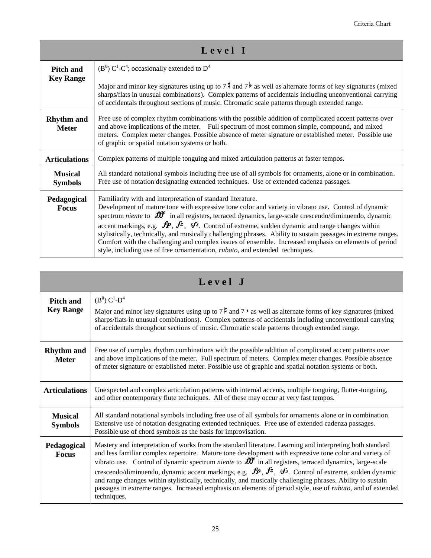| Level I                           |                                                                                                                                                                                                                                                                                                                                                                                                                                                                                                                                                                                                                                                                                                                                          |
|-----------------------------------|------------------------------------------------------------------------------------------------------------------------------------------------------------------------------------------------------------------------------------------------------------------------------------------------------------------------------------------------------------------------------------------------------------------------------------------------------------------------------------------------------------------------------------------------------------------------------------------------------------------------------------------------------------------------------------------------------------------------------------------|
| <b>Pitch and</b>                  | $(B^0)$ C <sup>1</sup> -C <sup>4</sup> ; occasionally extended to D <sup>4</sup>                                                                                                                                                                                                                                                                                                                                                                                                                                                                                                                                                                                                                                                         |
| <b>Key Range</b>                  | Major and minor key signatures using up to $7\frac{1}{2}$ and $7^{\frac{1}{2}}$ as well as alternate forms of key signatures (mixed<br>sharps/flats in unusual combinations). Complex patterns of accidentals including unconventional carrying<br>of accidentals throughout sections of music. Chromatic scale patterns through extended range.                                                                                                                                                                                                                                                                                                                                                                                         |
| <b>Rhythm</b> and<br><b>Meter</b> | Free use of complex rhythm combinations with the possible addition of complicated accent patterns over<br>and above implications of the meter. Full spectrum of most common simple, compound, and mixed<br>meters. Complex meter changes. Possible absence of meter signature or established meter. Possible use<br>of graphic or spatial notation systems or both.                                                                                                                                                                                                                                                                                                                                                                      |
| <b>Articulations</b>              | Complex patterns of multiple tonguing and mixed articulation patterns at faster tempos.                                                                                                                                                                                                                                                                                                                                                                                                                                                                                                                                                                                                                                                  |
| <b>Musical</b><br><b>Symbols</b>  | All standard notational symbols including free use of all symbols for ornaments, alone or in combination.<br>Free use of notation designating extended techniques. Use of extended cadenza passages.                                                                                                                                                                                                                                                                                                                                                                                                                                                                                                                                     |
| Pedagogical<br><b>Focus</b>       | Familiarity with and interpretation of standard literature.<br>Development of mature tone with expressive tone color and variety in vibrato use. Control of dynamic<br>spectrum niente to $\mathbf{H}$ in all registers, terraced dynamics, large-scale crescendo/diminuendo, dynamic<br>accent markings, e.g. $\mathbf{fp}, \mathbf{f}^2, \mathbf{f}^3$ . Control of extreme, sudden dynamic and range changes within<br>stylistically, technically, and musically challenging phrases. Ability to sustain passages in extreme ranges.<br>Comfort with the challenging and complex issues of ensemble. Increased emphasis on elements of period<br>style, including use of free ornamentation, <i>rubato</i> , and extended techniques. |

| Level J                              |                                                                                                                                                                                                                                                                                                                                                                                                                                                                                                                                                                                                                                                                                                                                                        |
|--------------------------------------|--------------------------------------------------------------------------------------------------------------------------------------------------------------------------------------------------------------------------------------------------------------------------------------------------------------------------------------------------------------------------------------------------------------------------------------------------------------------------------------------------------------------------------------------------------------------------------------------------------------------------------------------------------------------------------------------------------------------------------------------------------|
| <b>Pitch and</b><br><b>Key Range</b> | $(B^0) C^1 - D^4$<br>Major and minor key signatures using up to $7^{\frac{1}{2}}$ and $7^{\frac{1}{2}}$ as well as alternate forms of key signatures (mixed<br>sharps/flats in unusual combinations). Complex patterns of accidentals including unconventional carrying<br>of accidentals throughout sections of music. Chromatic scale patterns through extended range.                                                                                                                                                                                                                                                                                                                                                                               |
| <b>Rhythm</b> and<br><b>Meter</b>    | Free use of complex rhythm combinations with the possible addition of complicated accent patterns over<br>and above implications of the meter. Full spectrum of meters. Complex meter changes. Possible absence<br>of meter signature or established meter. Possible use of graphic and spatial notation systems or both.                                                                                                                                                                                                                                                                                                                                                                                                                              |
| <b>Articulations</b>                 | Unexpected and complex articulation patterns with internal accents, multiple tonguing, flutter-tonguing,<br>and other contemporary flute techniques. All of these may occur at very fast tempos.                                                                                                                                                                                                                                                                                                                                                                                                                                                                                                                                                       |
| <b>Musical</b><br><b>Symbols</b>     | All standard notational symbols including free use of all symbols for ornaments-alone or in combination.<br>Extensive use of notation designating extended techniques. Free use of extended cadenza passages.<br>Possible use of chord symbols as the basis for improvisation.                                                                                                                                                                                                                                                                                                                                                                                                                                                                         |
| Pedagogical<br><b>Focus</b>          | Mastery and interpretation of works from the standard literature. Learning and interpreting both standard<br>and less familiar complex repertoire. Mature tone development with expressive tone color and variety of<br>vibrato use. Control of dynamic spectrum <i>niente</i> to $\mathbf{f} \mathbf{f}$ in all registers, terraced dynamics, large-scale<br>crescendo/diminuendo, dynamic accent markings, e.g. $\mathbf{fp}, \mathbf{f}^2$ , $\mathbf{f}^3$ . Control of extreme, sudden dynamic<br>and range changes within stylistically, technically, and musically challenging phrases. Ability to sustain<br>passages in extreme ranges. Increased emphasis on elements of period style, use of <i>rubato</i> , and of extended<br>techniques. |